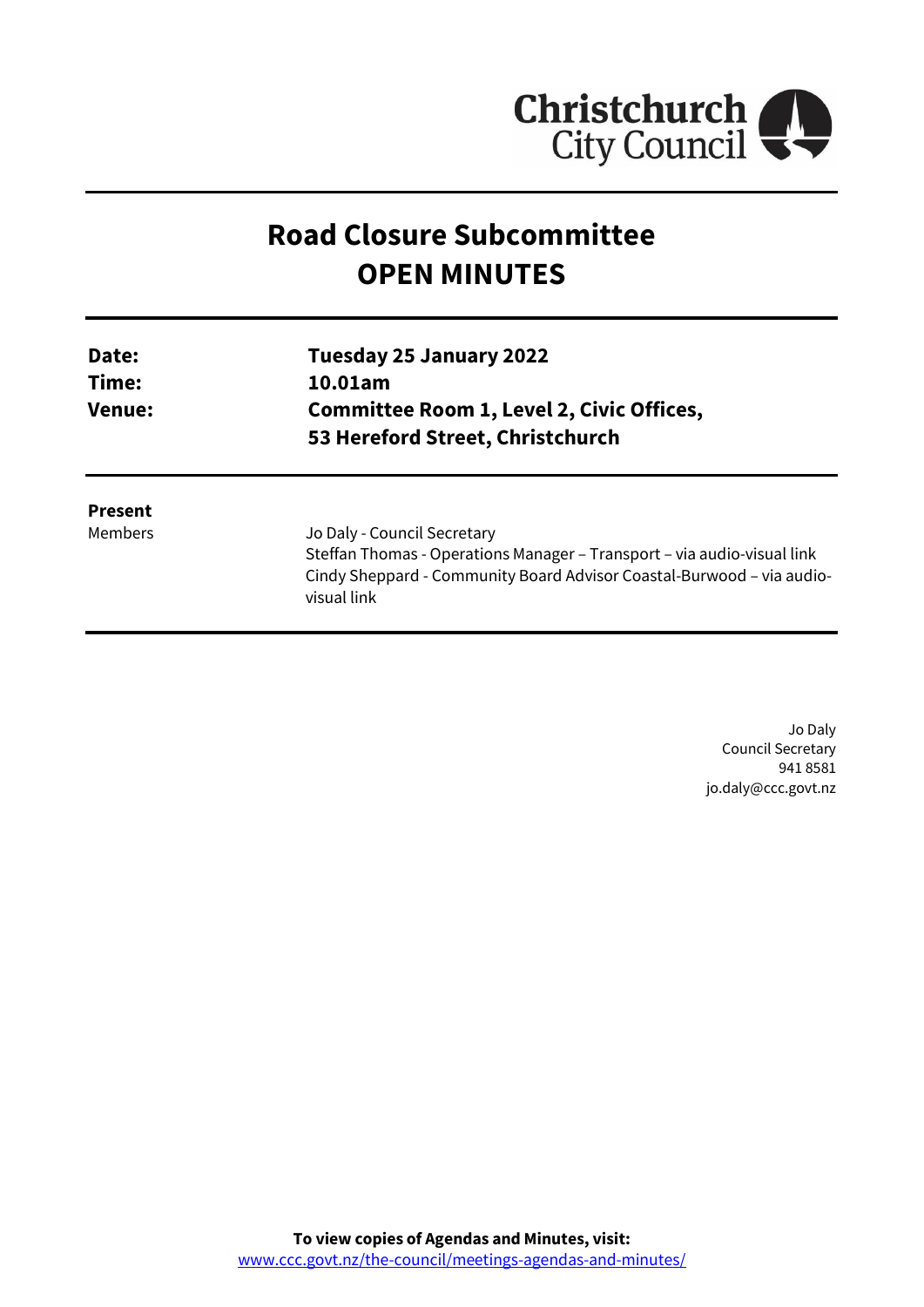

# **Road Closure Subcommittee OPEN MINUTES**

| Date:<br>Time:<br><b>Venue:</b> | Tuesday 25 January 2022<br>10.01am<br><b>Committee Room 1, Level 2, Civic Offices,</b><br>53 Hereford Street, Christchurch                                                                     |
|---------------------------------|------------------------------------------------------------------------------------------------------------------------------------------------------------------------------------------------|
| <b>Present</b><br>Members       | Jo Daly - Council Secretary<br>Steffan Thomas - Operations Manager – Transport – via audio-visual link<br>Cindy Sheppard - Community Board Advisor Coastal-Burwood - via audio-<br>visual link |

Jo Daly Council Secretary 941 8581 jo.daly@ccc.govt.nz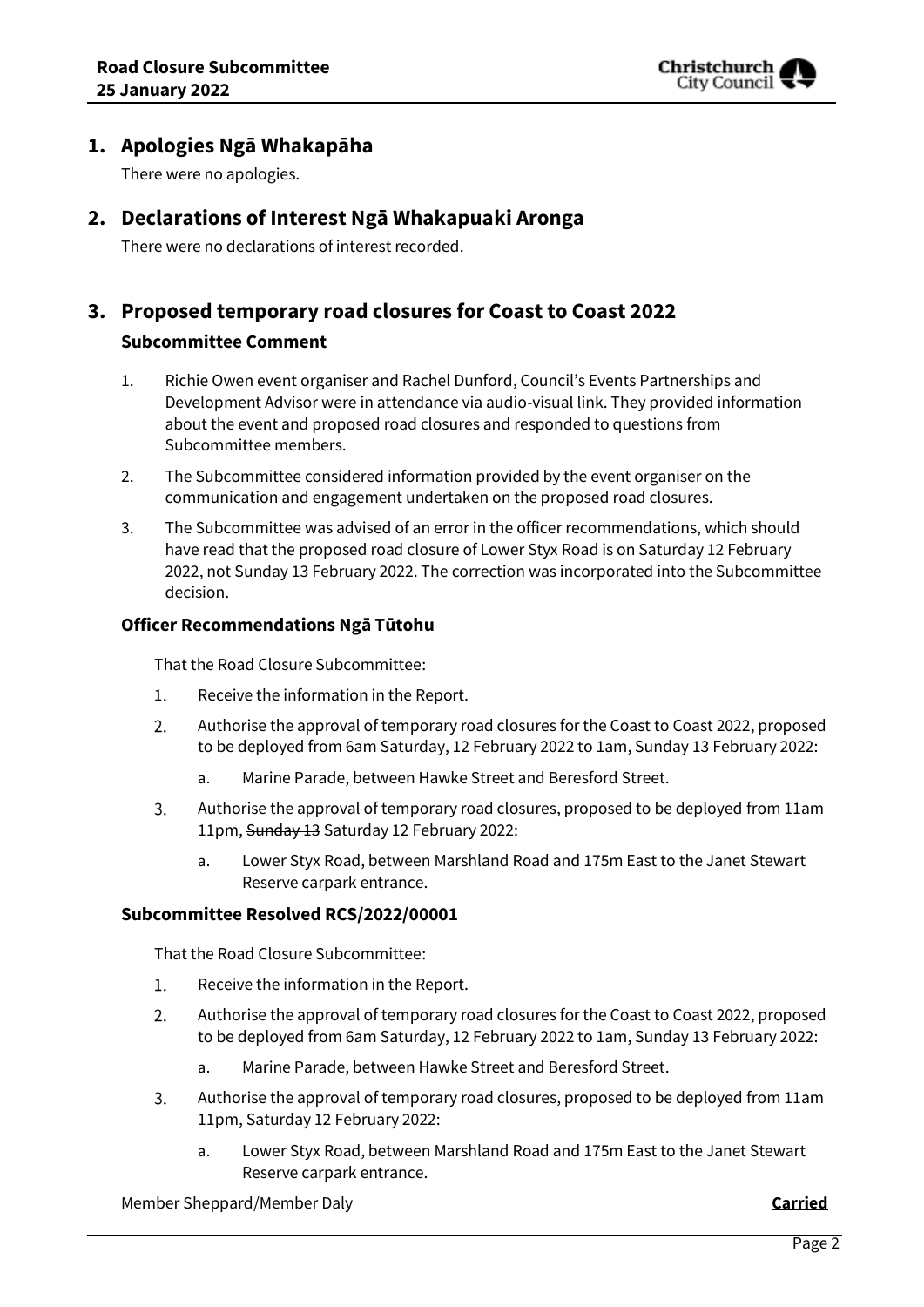

## **1. Apologies Ngā Whakapāha**

There were no apologies.

## **2. Declarations of Interest Ngā Whakapuaki Aronga**

There were no declarations of interest recorded.

## **3. Proposed temporary road closures for Coast to Coast 2022 Subcommittee Comment**

- 1. Richie Owen event organiser and Rachel Dunford, Council's Events Partnerships and Development Advisor were in attendance via audio-visual link. They provided information about the event and proposed road closures and responded to questions from Subcommittee members.
- 2. The Subcommittee considered information provided by the event organiser on the communication and engagement undertaken on the proposed road closures.
- 3. The Subcommittee was advised of an error in the officer recommendations, which should have read that the proposed road closure of Lower Styx Road is on Saturday 12 February 2022, not Sunday 13 February 2022. The correction was incorporated into the Subcommittee decision.

#### **Officer Recommendations Ngā Tūtohu**

That the Road Closure Subcommittee:

- $1.$ Receive the information in the Report.
- $2.$ Authorise the approval of temporary road closures for the Coast to Coast 2022, proposed to be deployed from 6am Saturday, 12 February 2022 to 1am, Sunday 13 February 2022:
	- a. Marine Parade, between Hawke Street and Beresford Street.
- $3.$ Authorise the approval of temporary road closures, proposed to be deployed from 11am 11pm, Sunday 13 Saturday 12 February 2022:
	- a. Lower Styx Road, between Marshland Road and 175m East to the Janet Stewart Reserve carpark entrance.

#### **Subcommittee Resolved RCS/2022/00001**

That the Road Closure Subcommittee:

- 1. Receive the information in the Report.
- $2.$ Authorise the approval of temporary road closures for the Coast to Coast 2022, proposed to be deployed from 6am Saturday, 12 February 2022 to 1am, Sunday 13 February 2022:
	- a. Marine Parade, between Hawke Street and Beresford Street.
- $\overline{3}$ . Authorise the approval of temporary road closures, proposed to be deployed from 11am 11pm, Saturday 12 February 2022:
	- a. Lower Styx Road, between Marshland Road and 175m East to the Janet Stewart Reserve carpark entrance.

Member Sheppard/Member Daly **Carried**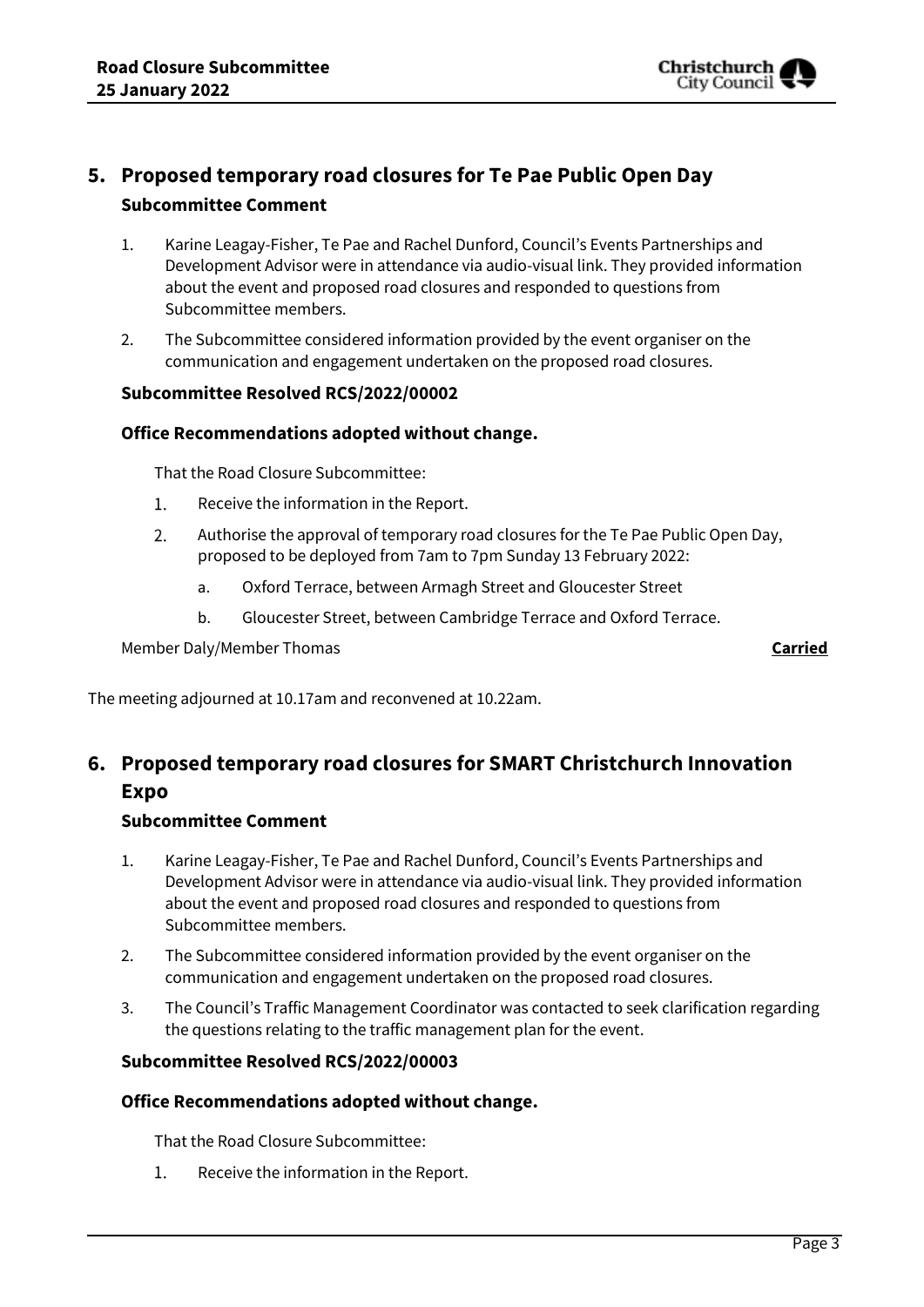

## **5. Proposed temporary road closures for Te Pae Public Open Day Subcommittee Comment**

- 1. Karine Leagay-Fisher, Te Pae and Rachel Dunford, Council's Events Partnerships and Development Advisor were in attendance via audio-visual link. They provided information about the event and proposed road closures and responded to questions from Subcommittee members.
- 2. The Subcommittee considered information provided by the event organiser on the communication and engagement undertaken on the proposed road closures.

### **Subcommittee Resolved RCS/2022/00002**

### **Office Recommendations adopted without change.**

That the Road Closure Subcommittee:

- $1.$ Receive the information in the Report.
- $2.$ Authorise the approval of temporary road closures for the Te Pae Public Open Day, proposed to be deployed from 7am to 7pm Sunday 13 February 2022:
	- a. Oxford Terrace, between Armagh Street and Gloucester Street
	- b. Gloucester Street, between Cambridge Terrace and Oxford Terrace.

Member Daly/Member Thomas **Carried**

The meeting adjourned at 10.17am and reconvened at 10.22am.

## **6. Proposed temporary road closures for SMART Christchurch Innovation Expo**

## **Subcommittee Comment**

- 1. Karine Leagay-Fisher, Te Pae and Rachel Dunford, Council's Events Partnerships and Development Advisor were in attendance via audio-visual link. They provided information about the event and proposed road closures and responded to questions from Subcommittee members.
- 2. The Subcommittee considered information provided by the event organiser on the communication and engagement undertaken on the proposed road closures.
- 3. The Council's Traffic Management Coordinator was contacted to seek clarification regarding the questions relating to the traffic management plan for the event.

## **Subcommittee Resolved RCS/2022/00003**

## **Office Recommendations adopted without change.**

That the Road Closure Subcommittee:

 $1.$ Receive the information in the Report.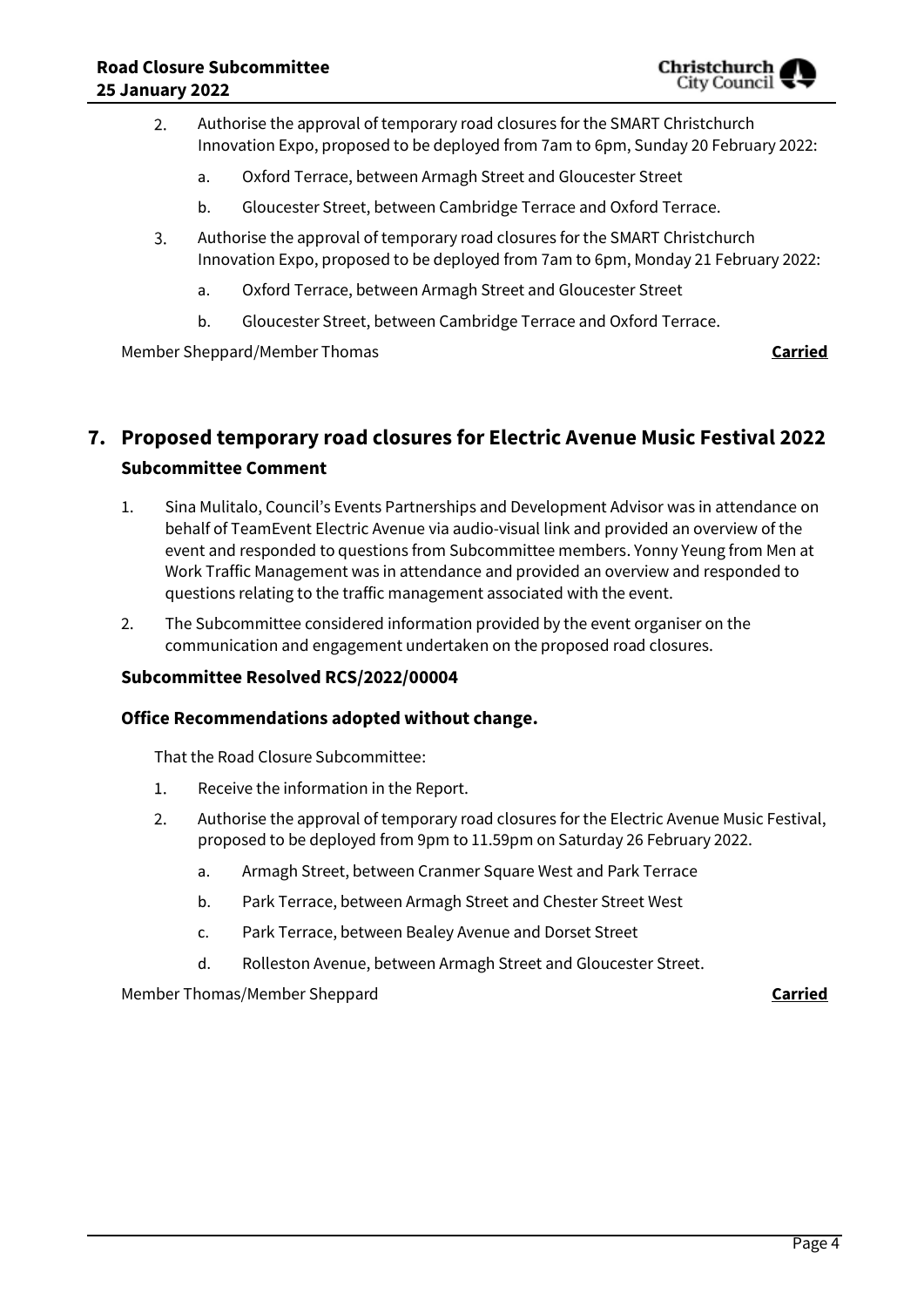

- Authorise the approval of temporary road closures for the SMART Christchurch 2. Innovation Expo, proposed to be deployed from 7am to 6pm, Sunday 20 February 2022:
	- a. Oxford Terrace, between Armagh Street and Gloucester Street
	- b. Gloucester Street, between Cambridge Terrace and Oxford Terrace.
- Authorise the approval of temporary road closures for the SMART Christchurch  $3.$ Innovation Expo, proposed to be deployed from 7am to 6pm, Monday 21 February 2022:
	- a. Oxford Terrace, between Armagh Street and Gloucester Street
	- b. Gloucester Street, between Cambridge Terrace and Oxford Terrace.

Member Sheppard/Member Thomas **Carried**

## **7. Proposed temporary road closures for Electric Avenue Music Festival 2022 Subcommittee Comment**

- 1. Sina Mulitalo, Council's Events Partnerships and Development Advisor was in attendance on behalf of TeamEvent Electric Avenue via audio-visual link and provided an overview of the event and responded to questions from Subcommittee members. Yonny Yeung from Men at Work Traffic Management was in attendance and provided an overview and responded to questions relating to the traffic management associated with the event.
- 2. The Subcommittee considered information provided by the event organiser on the communication and engagement undertaken on the proposed road closures.

### **Subcommittee Resolved RCS/2022/00004**

#### **Office Recommendations adopted without change.**

That the Road Closure Subcommittee:

- $1.$ Receive the information in the Report.
- $2.$ Authorise the approval of temporary road closures for the Electric Avenue Music Festival, proposed to be deployed from 9pm to 11.59pm on Saturday 26 February 2022.
	- a. Armagh Street, between Cranmer Square West and Park Terrace
	- b. Park Terrace, between Armagh Street and Chester Street West
	- c. Park Terrace, between Bealey Avenue and Dorset Street
	- d. Rolleston Avenue, between Armagh Street and Gloucester Street.

Member Thomas/Member Sheppard **Carried**